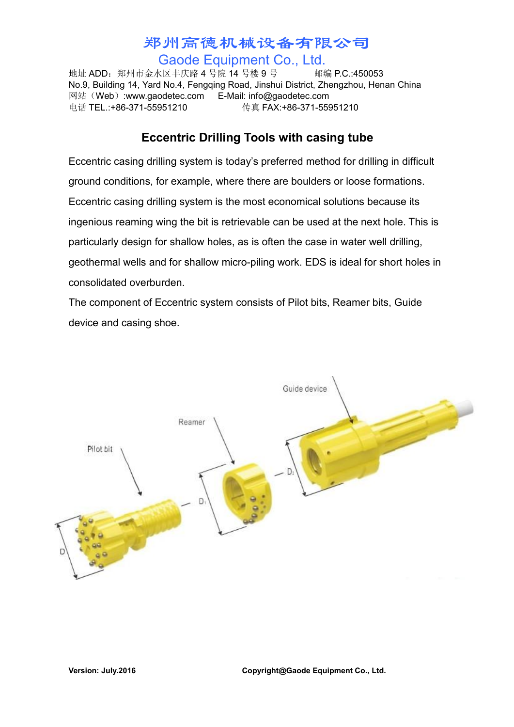## 郑州高德机械设备有限公司 Gaode Equipment Co., Ltd.

地址 ADD:郑州市金水区丰庆路 4 号院 14 号楼 9 号 邮编 P.C.:450053 No.9, Building 14, Yard No.4, Fengqing Road, Jinshui District, Zhengzhou, Henan China 网站(Web):www.gaodetec.com E-Mail: info@gaodetec.com 电话 TEL.:+86-371-55951210 传真 FAX:+86-371-55951210

## **Eccentric Drilling Tools with casing tube**

Eccentric casing drilling system is today's preferred method for drilling in difficult ground conditions, for example, where there are boulders or loose formations. Eccentric casing drilling system is the most economical solutions because its ingenious reaming wing the bit is retrievable can be used at the next hole. This is particularly design for shallow holes, as is often the case in water well drilling, geothermal wells and for shallow micro-piling work. EDS is ideal for short holes in consolidated overburden.

The component of Eccentric system consists of Pilot bits, Reamer bits, Guide device and casing shoe.

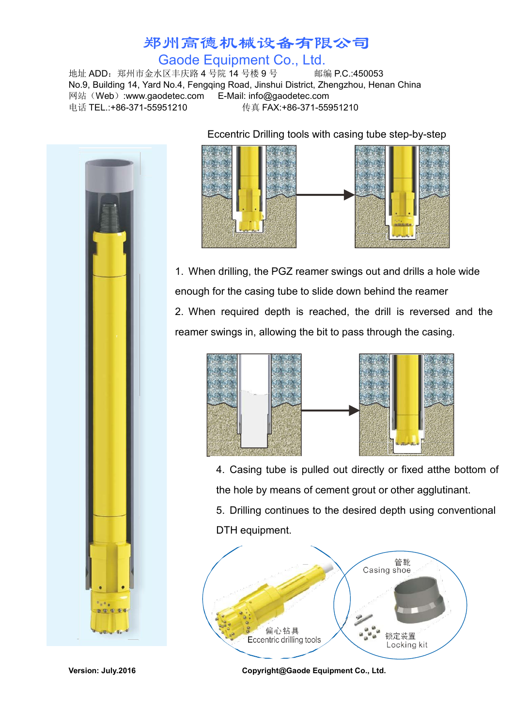## 郑州高德机械设备有限公司 Gaode Equipment Co., Ltd.

地址 ADD:郑州市金水区丰庆路 4 号院 14 号楼 9 号 邮编 P.C.:450053 No.9, Building 14, Yard No.4, Fengqing Road, Jinshui District, Zhengzhou, Henan China 网站(Web):www.gaodetec.com E-Mail: info@gaodetec.com 电话 TEL.:+86-371-55951210 传真 FAX:+86-371-55951210



Eccentric Drilling tools with casing tube step-by-step



1. When drilling, the PGZ reamer swings out and drills a hole wide enough for the casing tube to slide down behind the reamer 2. When required depth is reached, the drill is reversed and the reamer swings in, allowing the bit to pass through the casing.



4. Casing tube is pulled out directly or fixed atthe bottom of the hole by means of cement grout or other agglutinant.

5. Drilling continues to the desired depth using conventional DTH equipment.



**Version: July.2016 Copyright@Gaode Equipment Co., Ltd.**